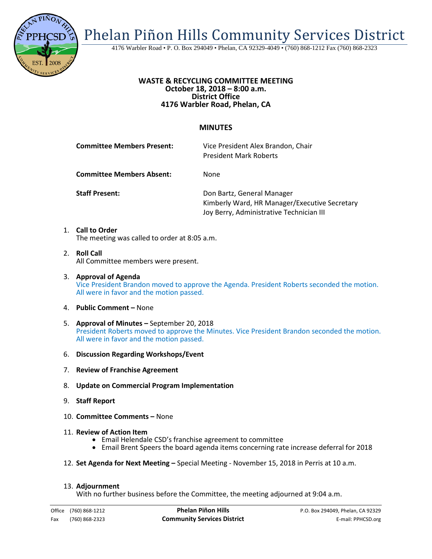

Phelan Piñon Hills Community Services District

4176 Warbler Road • P. O. Box 294049 • Phelan, CA 92329-4049 • (760) 868-1212 Fax (760) 868-2323

## **WASTE & RECYCLING COMMITTEE MEETING October 18, 2018 – 8:00 a.m. District Office 4176 Warbler Road, Phelan, CA**

## **MINUTES**

|    | <b>Committee Members Present:</b> | Vice President Alex Brandon, Chair<br><b>President Mark Roberts</b>                                                     |
|----|-----------------------------------|-------------------------------------------------------------------------------------------------------------------------|
|    | <b>Committee Members Absent:</b>  | <b>None</b>                                                                                                             |
|    | <b>Staff Present:</b>             | Don Bartz, General Manager<br>Kimberly Ward, HR Manager/Executive Secretary<br>Joy Berry, Administrative Technician III |
| 1. | <b>Call to Order</b>              |                                                                                                                         |

The meeting was called to order at 8:05 a.m.

- 2. **Roll Call** All Committee members were present.
- 3. **Approval of Agenda** Vice President Brandon moved to approve the Agenda. President Roberts seconded the motion. All were in favor and the motion passed.
- 4. **Public Comment –** None
- 5. **Approval of Minutes –** September 20, 2018 President Roberts moved to approve the Minutes. Vice President Brandon seconded the motion. All were in favor and the motion passed.
- 6. **Discussion Regarding Workshops/Event**
- 7. **Review of Franchise Agreement**
- 8. **Update on Commercial Program Implementation**
- 9. **Staff Report**
- 10. **Committee Comments –** None
- -
- 11. **Review of Action Item**<br>• Email Helendale CSD's franchise agreement to committee Email Brent Speers the board agenda items concerning rate increase deferral for 2018
- 12. **Set Agenda for Next Meeting –** Special Meeting November 15, 2018 in Perris at 10 a.m.

## 13. **Adjournment**

With no further business before the Committee, the meeting adjourned at 9:04 a.m.